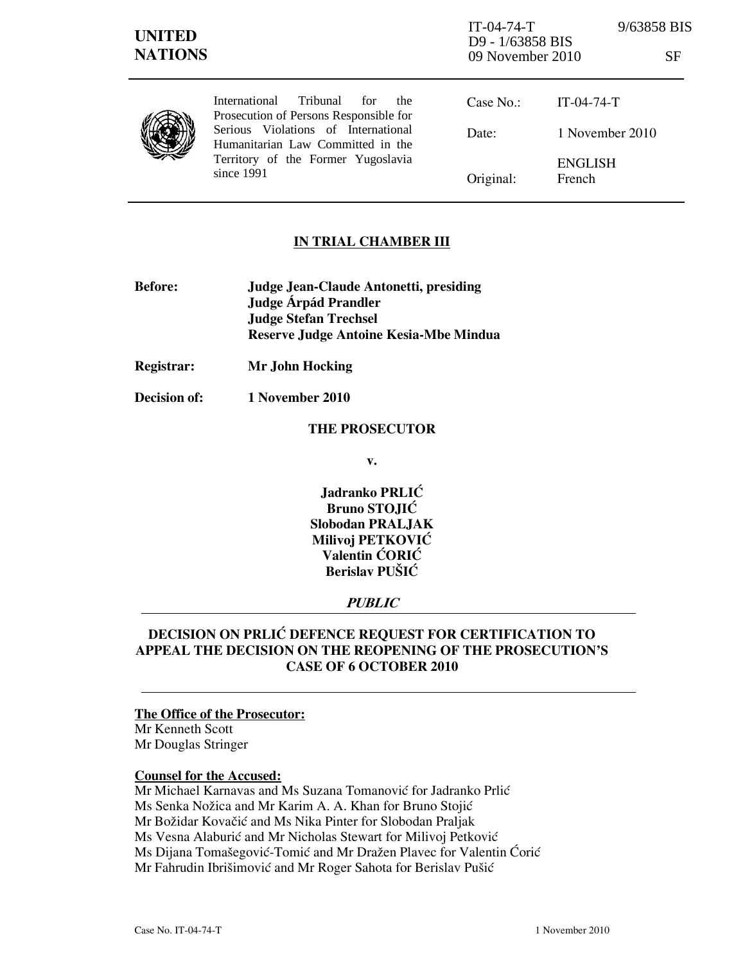| <b>UNITED</b><br><b>NATIONS</b> |                                                                                                                                                                                                                           | $IT-04-74-T$<br>D9 - 1/63858 BIS<br>09 November 2010 |                          | 9/63858 BIS<br>SF |
|---------------------------------|---------------------------------------------------------------------------------------------------------------------------------------------------------------------------------------------------------------------------|------------------------------------------------------|--------------------------|-------------------|
|                                 | Tribunal<br><b>International</b><br>for<br>the.<br>Prosecution of Persons Responsible for<br>Serious Violations of International<br>Humanitarian Law Committed in the<br>Territory of the Former Yugoslavia<br>since 1991 | Case No.:                                            | $IT-04-74-T$             |                   |
|                                 |                                                                                                                                                                                                                           | Date:                                                | 1 November 2010          |                   |
|                                 |                                                                                                                                                                                                                           | Original:                                            | <b>ENGLISH</b><br>French |                   |

## IN TRIAL CHAMBER III

- Before: Judge Jean-Claude Antonetti, presiding Judge **Árpád Prandler**  Judge Stefan Trechsel Reserve Judge Antoine Kesia-Mbe Mindua
- Registrar: Mr John Hocking
- Decision of: 1 November 2010

### THE PROSECUTOR

v.

Jadranko PRLIĆ Bruno STOJIĆ Slobodan PRALJAK Milivoj PETKOVIĆ Valentin ĆORIĆ Berislav PUŠIĆ

## PUBLIC

# DECISION ON PRLIĆ DEFENCE REQUEST FOR CERTIFICATION TO APPEAL THE DECISION ON THE REOPENING OF THE PROSECUTION'S CASE OF 6 OCTOBER 2010

### The Office of the Prosecutor:

Mr Kenneth Scott Mr Douglas Stringer

### Counsel for the Accused:

Mr Michael Karnavas and Ms Suzana Tomanović for Jadranko Prlić Ms Senka Nožica and Mr Karim A. A. Khan for Bruno Stojić Mr Božidar Kovačić and Ms Nika Pinter for Slobodan Praljak Ms Vesna Alaburić and Mr Nicholas Stewart for Milivoj Petković Ms Dijana Tomašegović-Tomić and Mr Dražen Plavec for Valentin Ćorić Mr Fahrudin Ibrišimović and Mr Roger Sahota for Berislav Pušić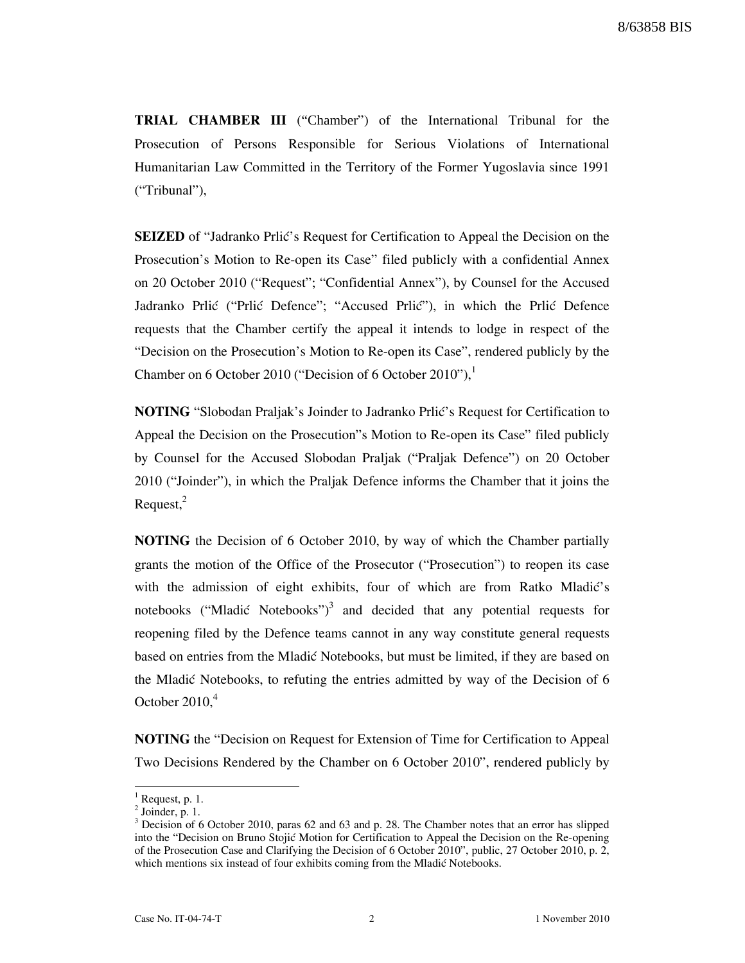TRIAL CHAMBER III ("Chamber") of the International Tribunal for the Prosecution of Persons Responsible for Serious Violations of International Humanitarian Law Committed in the Territory of the Former Yugoslavia since 1991 ("Tribunal"),

**SEIZED** of "Jadranko Prlic" s Request for Certification to Appeal the Decision on the Prosecution's Motion to Re-open its Case" filed publicly with a confidential Annex on 20 October 2010 ("Request"; "Confidential Annex"), by Counsel for the Accused Jadranko Prlić ("Prlić Defence"; "Accused Prlić"), in which the Prlić Defence requests that the Chamber certify the appeal it intends to lodge in respect of the "Decision on the Prosecution's Motion to Re-open its Case", rendered publicly by the Chamber on 6 October 2010 ("Decision of 6 October 2010"), $^1$ 

**NOTING** "Slobodan Praljak's Joinder to Jadranko Prlić's Request for Certification to Appeal the Decision on the Prosecution"s Motion to Re-open its Case" filed publicly by Counsel for the Accused Slobodan Praljak ("Praljak Defence") on 20 October 2010 ("Joinder"), in which the Praljak Defence informs the Chamber that it joins the  $Request<sub>1</sub><sup>2</sup>$ 

NOTING the Decision of 6 October 2010, by way of which the Chamber partially grants the motion of the Office of the Prosecutor ("Prosecution") to reopen its case with the admission of eight exhibits, four of which are from Ratko Mladić's notebooks ("Mladić Notebooks")<sup>3</sup> and decided that any potential requests for reopening filed by the Defence teams cannot in any way constitute general requests based on entries from the Mladić Notebooks, but must be limited, if they are based on the Mladić Notebooks, to refuting the entries admitted by way of the Decision of 6 October  $2010<sup>4</sup>$ 

NOTING the "Decision on Request for Extension of Time for Certification to Appeal Two Decisions Rendered by the Chamber on 6 October 2010", rendered publicly by

 $\overline{\phantom{a}}$ 

 $<sup>1</sup>$  Request, p. 1.</sup>

 $<sup>2</sup>$  Joinder, p. 1.</sup>

 $3$  Decision of 6 October 2010, paras 62 and 63 and p. 28. The Chamber notes that an error has slipped into the "Decision on Bruno Stojić Motion for Certification to Appeal the Decision on the Re-opening of the Prosecution Case and Clarifying the Decision of 6 October 2010", public, 27 October 2010, p. 2, which mentions six instead of four exhibits coming from the Mladić Notebooks.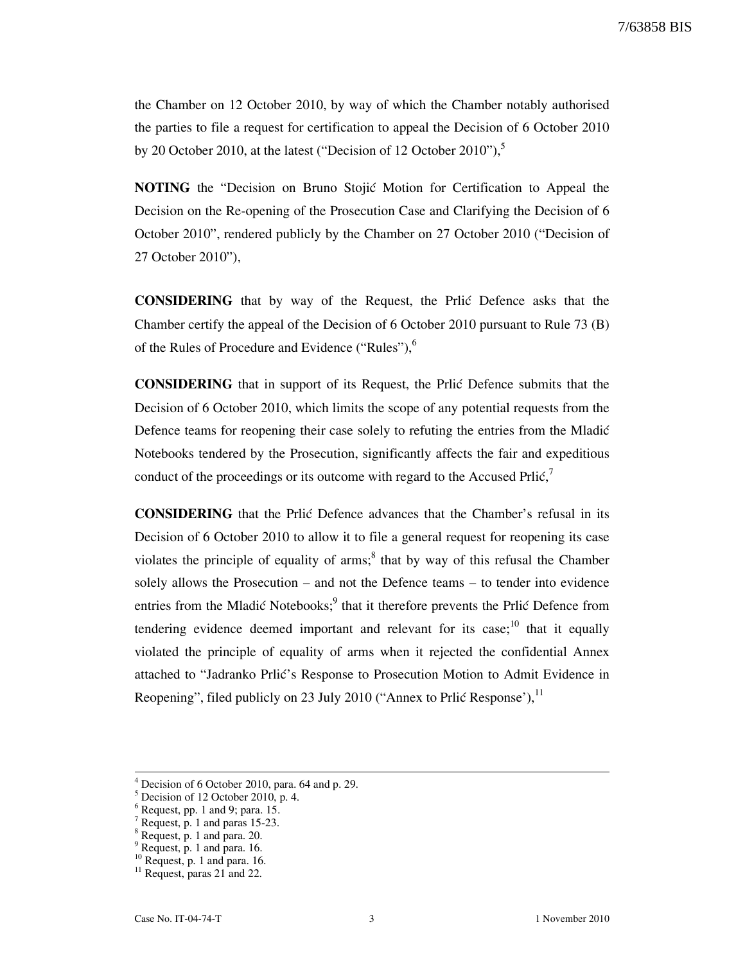the Chamber on 12 October 2010, by way of which the Chamber notably authorised the parties to file a request for certification to appeal the Decision of 6 October 2010 by 20 October 2010, at the latest ("Decision of 12 October 2010"), $\degree$ 

**NOTING** the "Decision on Bruno Stojić Motion for Certification to Appeal the Decision on the Re-opening of the Prosecution Case and Clarifying the Decision of 6 October 2010", rendered publicly by the Chamber on 27 October 2010 ("Decision of 27 October 2010"),

CONSIDERING that by way of the Request, the Prli} Defence asks that the Chamber certify the appeal of the Decision of 6 October 2010 pursuant to Rule 73 (B) of the Rules of Procedure and Evidence ("Rules"), $<sup>6</sup>$ </sup>

CONSIDERING that in support of its Request, the Prli} Defence submits that the Decision of 6 October 2010, which limits the scope of any potential requests from the Defence teams for reopening their case solely to refuting the entries from the Mladić Notebooks tendered by the Prosecution, significantly affects the fair and expeditious conduct of the proceedings or its outcome with regard to the Accused Prlic, $\frac{7}{2}$ 

CONSIDERING that the Prli} Defence advances that the Chamber's refusal in its Decision of 6 October 2010 to allow it to file a general request for reopening its case violates the principle of equality of arms;<sup>8</sup> that by way of this refusal the Chamber solely allows the Prosecution – and not the Defence teams – to tender into evidence entries from the Mladić Notebooks;<sup>9</sup> that it therefore prevents the Prlić Defence from tendering evidence deemed important and relevant for its case;<sup>10</sup> that it equally violated the principle of equality of arms when it rejected the confidential Annex attached to "Jadranko Prlić's Response to Prosecution Motion to Admit Evidence in Reopening", filed publicly on 23 July 2010 ("Annex to Prlić Response'),  $^{11}$ 

<sup>4</sup> Decision of 6 October 2010, para. 64 and p. 29.

 $<sup>5</sup>$  Decision of 12 October 2010, p. 4.</sup>

 $6$  Request, pp. 1 and 9; para. 15.

<sup>&</sup>lt;sup>7</sup> Request, p. 1 and paras 15-23.

<sup>8</sup> Request, p. 1 and para. 20.

<sup>&</sup>lt;sup>9</sup> Request, p. 1 and para. 16.

<sup>&</sup>lt;sup>10</sup> Request, p. 1 and para. 16.

<sup>&</sup>lt;sup>11</sup> Request, paras 21 and 22.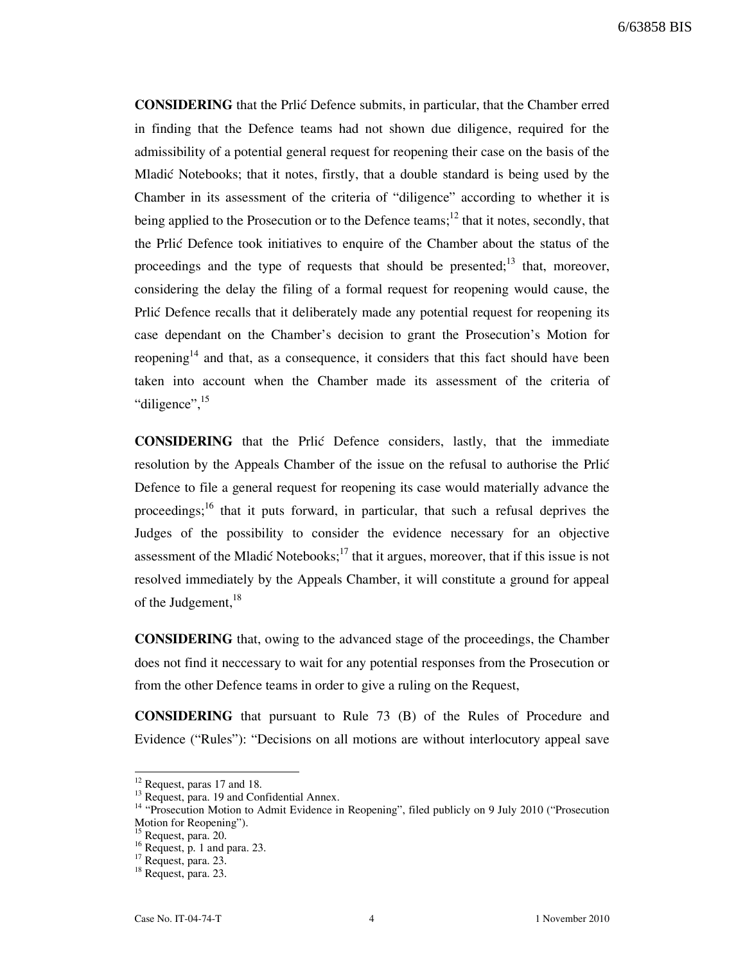CONSIDERING that the Prli} Defence submits, in particular, that the Chamber erred in finding that the Defence teams had not shown due diligence, required for the admissibility of a potential general request for reopening their case on the basis of the Mladić Notebooks; that it notes, firstly, that a double standard is being used by the Chamber in its assessment of the criteria of "diligence" according to whether it is being applied to the Prosecution or to the Defence teams;<sup>12</sup> that it notes, secondly, that the Prlić Defence took initiatives to enquire of the Chamber about the status of the proceedings and the type of requests that should be presented;<sup>13</sup> that, moreover, considering the delay the filing of a formal request for reopening would cause, the Prlic Defence recalls that it deliberately made any potential request for reopening its case dependant on the Chamber's decision to grant the Prosecution's Motion for reopening<sup>14</sup> and that, as a consequence, it considers that this fact should have been taken into account when the Chamber made its assessment of the criteria of "diligence", <sup>15</sup>

CONSIDERING that the Prli} Defence considers, lastly, that the immediate resolution by the Appeals Chamber of the issue on the refusal to authorise the Prlić Defence to file a general request for reopening its case would materially advance the proceedings;<sup>16</sup> that it puts forward, in particular, that such a refusal deprives the Judges of the possibility to consider the evidence necessary for an objective assessment of the Mladić Notebooks;<sup>17</sup> that it argues, moreover, that if this issue is not resolved immediately by the Appeals Chamber, it will constitute a ground for appeal of the Judgement,<sup>18</sup>

CONSIDERING that, owing to the advanced stage of the proceedings, the Chamber does not find it neccessary to wait for any potential responses from the Prosecution or from the other Defence teams in order to give a ruling on the Request,

CONSIDERING that pursuant to Rule 73 (B) of the Rules of Procedure and Evidence ("Rules"): "Decisions on all motions are without interlocutory appeal save

<sup>&</sup>lt;sup>12</sup> Request, paras 17 and 18.

 $^{13}$  Request, para. 19 and Confidential Annex.

<sup>&</sup>lt;sup>14</sup> "Prosecution Motion to Admit Evidence in Reopening", filed publicly on 9 July 2010 ("Prosecution Motion for Reopening").

Request, para. 20.

 $16$  Request, p. 1 and para. 23.

<sup>17</sup> Request, para. 23.

<sup>&</sup>lt;sup>18</sup> Request, para. 23.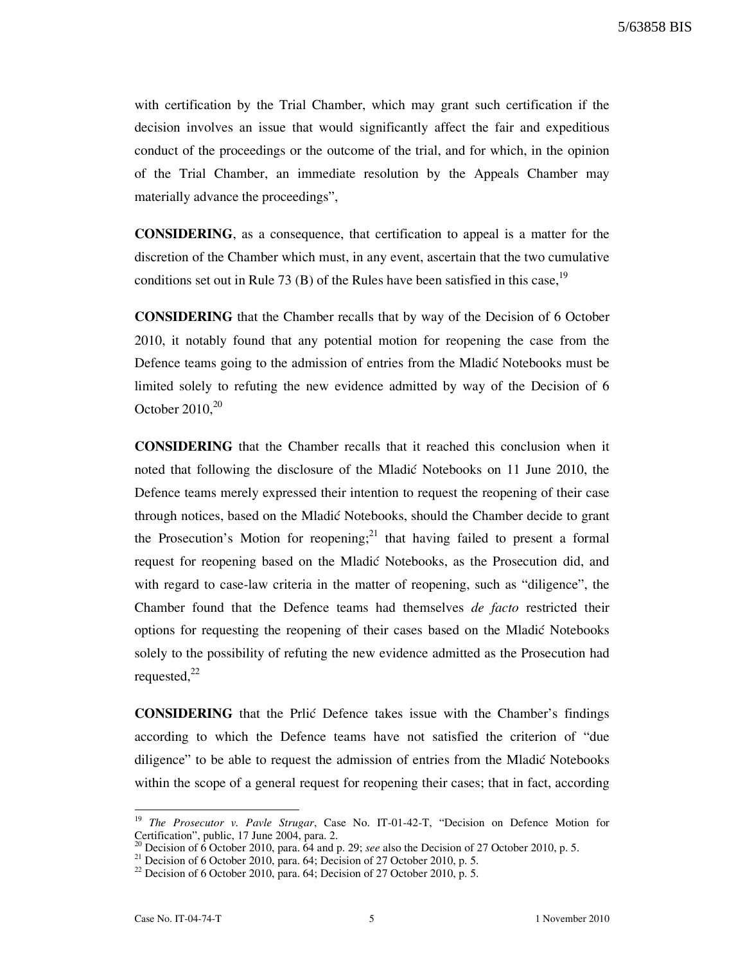with certification by the Trial Chamber, which may grant such certification if the decision involves an issue that would significantly affect the fair and expeditious conduct of the proceedings or the outcome of the trial, and for which, in the opinion of the Trial Chamber, an immediate resolution by the Appeals Chamber may materially advance the proceedings",

CONSIDERING, as a consequence, that certification to appeal is a matter for the discretion of the Chamber which must, in any event, ascertain that the two cumulative conditions set out in Rule 73 (B) of the Rules have been satisfied in this case,  $19$ 

CONSIDERING that the Chamber recalls that by way of the Decision of 6 October 2010, it notably found that any potential motion for reopening the case from the Defence teams going to the admission of entries from the Mladić Notebooks must be limited solely to refuting the new evidence admitted by way of the Decision of 6 October  $2010^{20}$ 

CONSIDERING that the Chamber recalls that it reached this conclusion when it noted that following the disclosure of the Mladic Notebooks on 11 June 2010, the Defence teams merely expressed their intention to request the reopening of their case through notices, based on the Mladić Notebooks, should the Chamber decide to grant the Prosecution's Motion for reopening;<sup>21</sup> that having failed to present a formal request for reopening based on the Mladić Notebooks, as the Prosecution did, and with regard to case-law criteria in the matter of reopening, such as "diligence", the Chamber found that the Defence teams had themselves de facto restricted their options for requesting the reopening of their cases based on the Mladić Notebooks solely to the possibility of refuting the new evidence admitted as the Prosecution had requested, $^{22}$ 

**CONSIDERING** that the Prlic Defence takes issue with the Chamber's findings according to which the Defence teams have not satisfied the criterion of "due diligence" to be able to request the admission of entries from the Mladic Notebooks within the scope of a general request for reopening their cases; that in fact, according

The Prosecutor v. Pavle Strugar, Case No. IT-01-42-T, "Decision on Defence Motion for Certification", public, 17 June 2004, para. 2.

Decision of 6 October 2010, para. 64 and p. 29; see also the Decision of 27 October 2010, p. 5.

<sup>&</sup>lt;sup>21</sup> Decision of 6 October 2010, para. 64; Decision of 27 October 2010, p. 5.

 $^{22}$  Decision of 6 October 2010, para. 64; Decision of 27 October 2010, p. 5.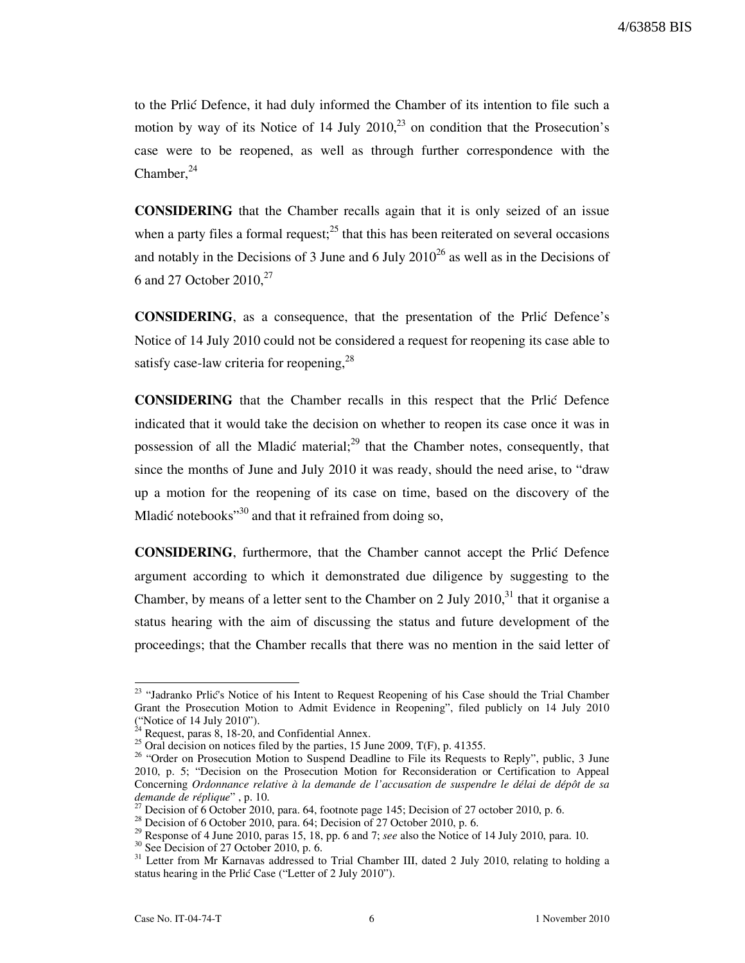to the Prlic Defence, it had duly informed the Chamber of its intention to file such a motion by way of its Notice of 14 July 2010, $^{23}$  on condition that the Prosecution's case were to be reopened, as well as through further correspondence with the  $Chamber, <sup>24</sup>$ 

CONSIDERING that the Chamber recalls again that it is only seized of an issue when a party files a formal request; $^{25}$  that this has been reiterated on several occasions and notably in the Decisions of 3 June and 6 July  $2010^{26}$  as well as in the Decisions of 6 and 27 October  $2010<sub>1</sub><sup>27</sup>$ 

CONSIDERING, as a consequence, that the presentation of the Prli} Defence's Notice of 14 July 2010 could not be considered a request for reopening its case able to satisfy case-law criteria for reopening,  $28$ 

CONSIDERING that the Chamber recalls in this respect that the Prli} Defence indicated that it would take the decision on whether to reopen its case once it was in possession of all the Mladić material;<sup>29</sup> that the Chamber notes, consequently, that since the months of June and July 2010 it was ready, should the need arise, to "draw up a motion for the reopening of its case on time, based on the discovery of the Mladić notebooks $"30$  and that it refrained from doing so,

CONSIDERING, furthermore, that the Chamber cannot accept the Prli} Defence argument according to which it demonstrated due diligence by suggesting to the Chamber, by means of a letter sent to the Chamber on 2 July  $2010<sup>31</sup>$  that it organise a status hearing with the aim of discussing the status and future development of the proceedings; that the Chamber recalls that there was no mention in the said letter of

 $\overline{\phantom{a}}$ 

<sup>&</sup>lt;sup>23</sup> "Jadranko Prlić's Notice of his Intent to Request Reopening of his Case should the Trial Chamber Grant the Prosecution Motion to Admit Evidence in Reopening", filed publicly on 14 July 2010 ("Notice of 14 July 2010").

 $^{24}$  Request, paras 8, 18-20, and Confidential Annex.

 $^{25}$  Oral decision on notices filed by the parties, 15 June 2009, T(F), p. 41355.

<sup>&</sup>lt;sup>26</sup> "Order on Prosecution Motion to Suspend Deadline to File its Requests to Reply", public, 3 June 2010, p. 5; "Decision on the Prosecution Motion for Reconsideration or Certification to Appeal Concerning Ordonnance relative à la demande de l'accusation de suspendre le délai de dépôt de sa demande de réplique" , p. 10.

<sup>27</sup> Decision of 6 October 2010, para. 64, footnote page 145; Decision of 27 october 2010, p. 6.

 $28$  Decision of 6 October 2010, para. 64; Decision of 27 October 2010, p. 6.

 $29$  Response of 4 June 2010, paras 15, 18, pp. 6 and 7; see also the Notice of 14 July 2010, para. 10.

 $30$  See Decision of 27 October 2010, p. 6.

<sup>&</sup>lt;sup>31</sup> Letter from Mr Karnavas addressed to Trial Chamber III, dated 2 July 2010, relating to holding a status hearing in the Prlić Case ("Letter of 2 July 2010").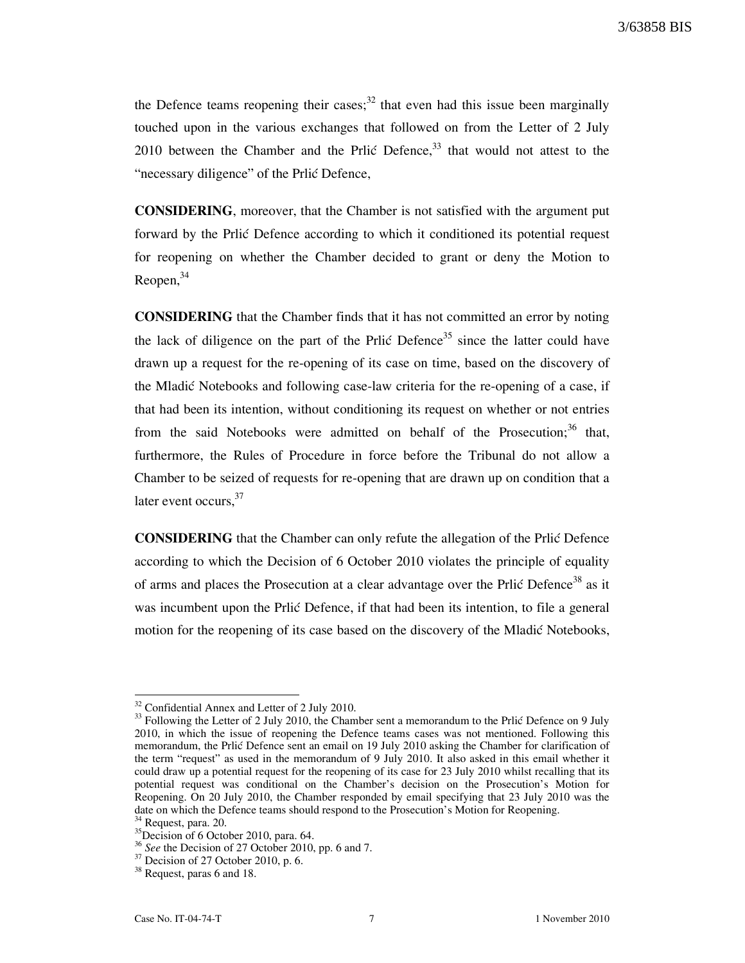the Defence teams reopening their cases; $^{32}$  that even had this issue been marginally touched upon in the various exchanges that followed on from the Letter of 2 July 2010 between the Chamber and the Prlić Defence,  $33$  that would not attest to the "necessary diligence" of the Prlić Defence,

CONSIDERING, moreover, that the Chamber is not satisfied with the argument put forward by the Prlic Defence according to which it conditioned its potential request for reopening on whether the Chamber decided to grant or deny the Motion to  $Reopen<sub>1</sub><sup>34</sup>$ 

CONSIDERING that the Chamber finds that it has not committed an error by noting the lack of diligence on the part of the Prlić Defence<sup>35</sup> since the latter could have drawn up a request for the re-opening of its case on time, based on the discovery of the Mladić Notebooks and following case-law criteria for the re-opening of a case, if that had been its intention, without conditioning its request on whether or not entries from the said Notebooks were admitted on behalf of the Prosecution; $36$  that, furthermore, the Rules of Procedure in force before the Tribunal do not allow a Chamber to be seized of requests for re-opening that are drawn up on condition that a later event occurs.<sup>37</sup>

CONSIDERING that the Chamber can only refute the allegation of the Prli} Defence according to which the Decision of 6 October 2010 violates the principle of equality of arms and places the Prosecution at a clear advantage over the Prlić Defence<sup>38</sup> as it was incumbent upon the Prlić Defence, if that had been its intention, to file a general motion for the reopening of its case based on the discovery of the Mladić Notebooks,

 $\overline{\phantom{a}}$ 

<sup>&</sup>lt;sup>32</sup> Confidential Annex and Letter of 2 July 2010.

<sup>&</sup>lt;sup>33</sup> Following the Letter of 2 July 2010, the Chamber sent a memorandum to the Prlić Defence on 9 July 2010, in which the issue of reopening the Defence teams cases was not mentioned. Following this memorandum, the Prlić Defence sent an email on 19 July 2010 asking the Chamber for clarification of the term "request" as used in the memorandum of 9 July 2010. It also asked in this email whether it could draw up a potential request for the reopening of its case for 23 July 2010 whilst recalling that its potential request was conditional on the Chamber's decision on the Prosecution's Motion for Reopening. On 20 July 2010, the Chamber responded by email specifying that 23 July 2010 was the date on which the Defence teams should respond to the Prosecution's Motion for Reopening.<br><sup>34</sup> Degrees and 20

Request, para. 20.

 $^{35}$ Decision of 6 October 2010, para. 64.

 $36$  See the Decision of 27 October 2010, pp. 6 and 7.

 $37$  Decision of 27 October 2010, p. 6.

<sup>38</sup> Request, paras 6 and 18.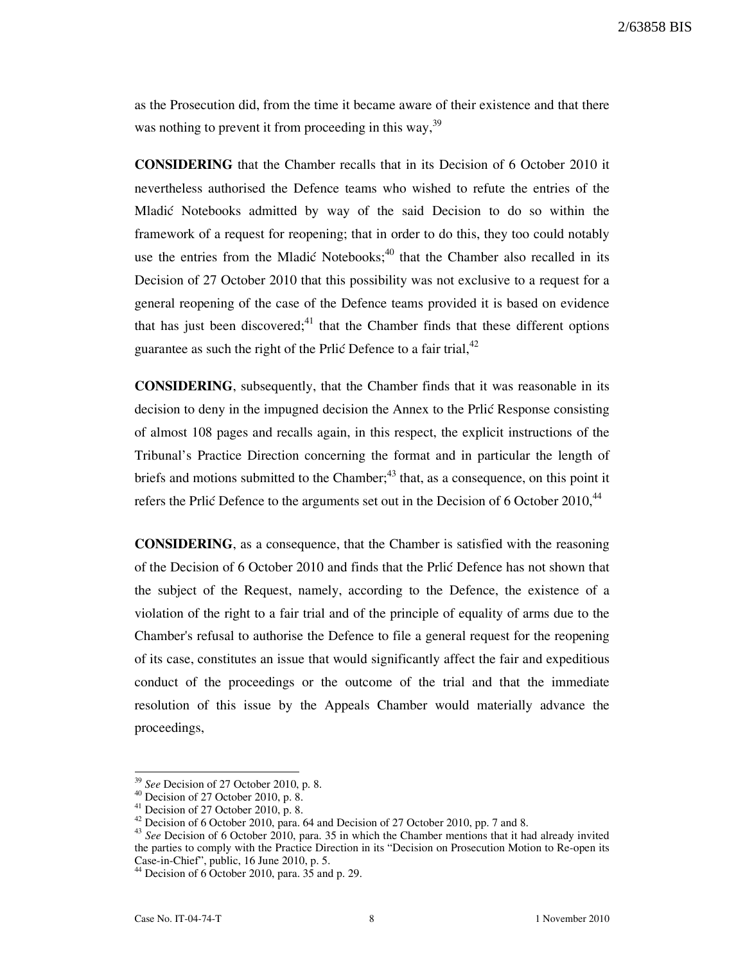as the Prosecution did, from the time it became aware of their existence and that there was nothing to prevent it from proceeding in this way,  $39$ 

CONSIDERING that the Chamber recalls that in its Decision of 6 October 2010 it nevertheless authorised the Defence teams who wished to refute the entries of the Mladi} Notebooks admitted by way of the said Decision to do so within the framework of a request for reopening; that in order to do this, they too could notably use the entries from the Mladić Notebooks; $40$  that the Chamber also recalled in its Decision of 27 October 2010 that this possibility was not exclusive to a request for a general reopening of the case of the Defence teams provided it is based on evidence that has just been discovered; $41$  that the Chamber finds that these different options guarantee as such the right of the Prlić Defence to a fair trial,  $42$ 

CONSIDERING, subsequently, that the Chamber finds that it was reasonable in its decision to deny in the impugned decision the Annex to the Prlic Response consisting of almost 108 pages and recalls again, in this respect, the explicit instructions of the Tribunal's Practice Direction concerning the format and in particular the length of briefs and motions submitted to the Chamber; $^{43}$  that, as a consequence, on this point it refers the Prlić Defence to the arguments set out in the Decision of 6 October 2010, $44$ 

CONSIDERING, as a consequence, that the Chamber is satisfied with the reasoning of the Decision of 6 October 2010 and finds that the Prlic Defence has not shown that the subject of the Request, namely, according to the Defence, the existence of a violation of the right to a fair trial and of the principle of equality of arms due to the Chamber's refusal to authorise the Defence to file a general request for the reopening of its case, constitutes an issue that would significantly affect the fair and expeditious conduct of the proceedings or the outcome of the trial and that the immediate resolution of this issue by the Appeals Chamber would materially advance the proceedings,

<sup>&</sup>lt;sup>39</sup> See Decision of 27 October 2010, p. 8.

 $40$  Decision of 27 October 2010, p. 8.

 $41$  Decision of 27 October 2010, p. 8.

 $42$  Decision of 6 October 2010, para. 64 and Decision of 27 October 2010, pp. 7 and 8.

<sup>&</sup>lt;sup>43</sup> See Decision of 6 October 2010, para. 35 in which the Chamber mentions that it had already invited the parties to comply with the Practice Direction in its "Decision on Prosecution Motion to Re-open its Case-in-Chief", public, 16 June 2010, p. 5.

 $44$  Decision of 6 October 2010, para.  $35$  and p. 29.